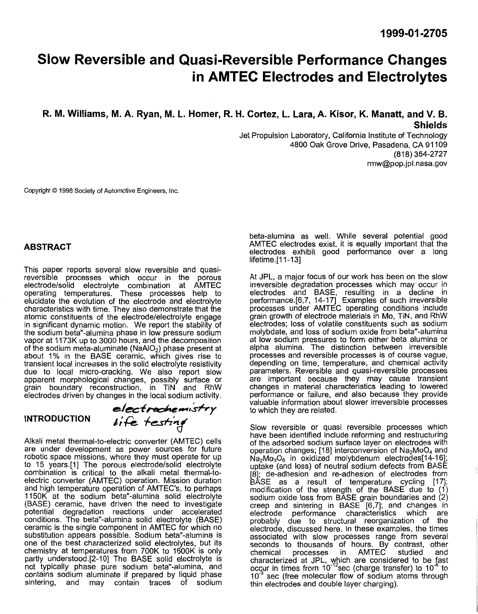# **Slow Reversible and Quasi-Reversible Performance Changes in AMTEC Electrodes and Electrolytes**

**R. M. Williams, M. A. Ryan, M. L. Homer, R. H. Cortez, L. Lara, A. Kisor, K. Manatt, and V. B. Shields** 

> Jet Propulsion Laboratory, California Institute of Technology 4800 Oak Grove Drive, Pasadena, CA 91 109 [rmw@pop.jpl.nasa.gov](mailto:rmw@pop.jpl.nasa.gov) (818) 354-2727

Copyright *0* 1998 Society of Automotive Engineers, Inc.

#### **ABSTRACT**

This paper reports several slow reversible and quasi-<br>reversible processes which occur in the porous<br>electrode/solid electrolyte combination at AMTEC operating temperatures. These processes help to elucidate the evolution of the electrode and electrolyte characteristics with time. They also demonstrate that the atomic constituents of the electrode/electrolyte engage in significant dynamic motion. We report the stability of the sodium beta"-alumina phase in low pressure sodium vapor at 1173K up to 3000 hours, and the decomposition vapor at 1173K up to 3000 hours, and the decomposition of the sodium meta-aluminate  $(NaAIO<sub>2</sub>)$  phase present at about 1% in the BASE ceramic, which gives rise to transient local increases in the solid electrolyte resis due to local micro-cracking. We also report slow apparent morphological changes, possibly surface or grain boundary reconstruction, in TiN and RhW electrodes driven by changes in the local sodium activity.

### **INTRODUCTION** *,;a*

di!!t&&-\*>+.lcfr-v *<sup>r</sup>*

Alkali metal thermal-to-electric converter (AMTEC) cells are under development as power sources for future robotic space missions, where they must operate for up to 15 years.[1] The porous electrode/solid electrolyte combination is critical to the alkali metal thermal-toelectric converter (AMTEC) operation. Mission duration<br>and high temperature operation of AMTEC's, to perhaps and high temperature operation of AMTEC's, to perhaps 1150K at the sodium beta''-alumina solid electrolyte (BASE) ceramic, have driven the need to investigate potential degradation reactions under accelerated conditions. The beta''-alumina solid electrolyte (BASE) ceramic is the single component in AMTEC for which no substitution appears possible. Sodium beta"-alumina is one of the best characterized solid electrolytes, but its chemistry at temperatures from 700K to 1600K is only partly understood [2-10] The BASE solid electrolyte is not typically phase pure sodium beta''-alumina, and contains sodium aluminate if prepared by liquid phase sintering, andmay contain traces of sodium

beta-alumina as well. While several potential good<br>AMTEC electrodes exist, it is equally important that the electrodes exhibit good performance over a long lifetime.[11-13]

At JPL, a major focus of our work has been on the slow irreversible degradation processes which may occur in electrodes and BASE, resulting in a decline in performance.[6,7, 14-17] Examples of such irreversible processes under AMTEC operating conditions include grain growth of electrode materials in Mo, TIN, and RhW electrodes; loss of volatile constituents such as sodium molybdate, and loss of sodium oxide from beta''-alumina at low sodium pressures to form either beta alumina or alpha alumina. The distinction between irreversible processes and reversible processes is of course vague, depending on time, temperature, and chemical activity parameters. Reversible and quasi-reversible processes are important because they may cause transient<br>changes in material characteristics leading to lowered performance or failure, and also because they provide valuable information about slower irreversible processes to which they are related.

Slow reversible or quasi reversible processes which have been identified include reforming and restructuring of the adsorbed sodium surface layer on electrodes with operation changes;  $[18]$  interconversion of  $Na<sub>2</sub>MoO<sub>4</sub>$  and  $Na<sub>2</sub>Mo<sub>3</sub>O<sub>6</sub>$  in oxidized molybdenum electrodes[14-16]; uptake (and loss) of neutral sodium defects from BASE [8]; de-adhesion and re-adhesion of electrodes from BASE as a result of temperature cycling [17]; modification of the strength of the BASE due to (1) sodium oxide loss from BASE grain boundaries and (2) creep and sintering in BASE [6,7]; and changes in electrode performance characteristics which are electrode performance characteristics which are probably due to structural eorganization of the electrode, discussed here. In these examples, the times associated with slow processes range from several seconds to thousands of hours. By contrast, other<br>chemical processes in AMTEC studied and chemical processes in AMTEC studied characterized at JPL, which are considered to be fast occur in times from 10<sup>-12</sup>sec (charge transfer) to 10<sup>-</sup> to  $10^{-3}$  sec (free molecular flow of sodium atoms throug thin electrodes and double layer charging).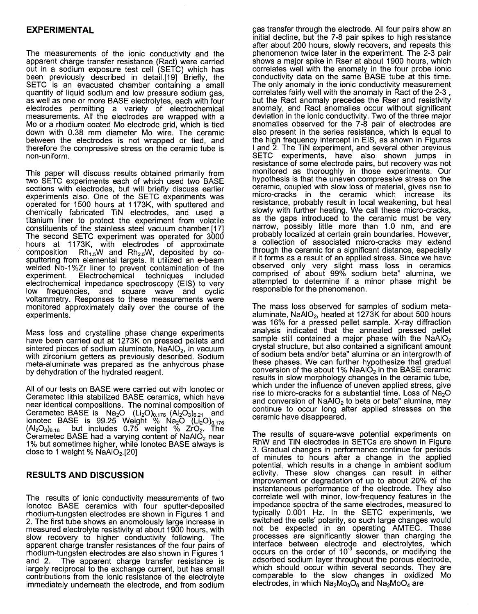# <span id="page-1-0"></span>**EXPERIMENTAL**

The measurements of the ionic conductivity and the apparent charge transfer resistance (Ract) were carried out in a sodium exposure test cell (SETC) which has been previously described in detail.[19] Briefly, the SETC is an evacuated chamber containing a small<br>quantity of liquid sodium and low pressure sodium gas, quantity of liquid sodium and low pressure sodium gas, as well as one or more BASE electrolytes, each with four electrodes permitting a variety of electrochemical measurements. All the electrodes are wrapped with a Mo or a rhodium coated Mo electrode grid, which is tied down with 0.38 mm diameter Mo wire. The ceramic between the electrodes is not wrapped or tied, and therefore the compressive stress on the ceramic tube is non-uniform.

This paper will discuss results obtained primarily from two SETC experiments each of which used two BASE sections with electrodes, but will briefly discuss earlier experiments also. One of the SETC experiments was operated for 1500 hours at 1173K, with sputtered and chemically fabricated TiN electrodes, and used a titanium liner to protect he experiment from volatile constituents of the stainless steel vacuum chamber.[17]<br>The second SETC experiment was operated for 3000 hours at 1173K, with electrodes of approximate<br>composition  $Rh_{1.5}W$  and  $Rh_{2.5}W$ , deposited by cosputtering from elemental targets. lt utilized an e-beam welded Nb-1%Zr liner to prevent contamination of the experiment. Electrochemical techniques included Electrochemical electrochemical impedance spectroscopy (EIS) to very low frequencies, and square wave and cyclic voltammetry. Responses to these measurements were monitored approximately daily over the course of the experiments.

Mass loss and crystalline phase change experiments have been carried out at 1273K on pressed pellets and sintered pieces of sodium aluminate,  $NaAIO<sub>2</sub>$ , in vacuum with zirconium getters as previously described. Sodium meta-aluminate was prepared as the anhydrous phase by dehydration of the hydrated reagent.

All of our tests on BASE were carried out with lonotec or Cerametec lithia stabilized BASE ceramics, which have near identical compositions. The nominal composition of Cerametec BASE is  $Na<sub>2</sub>O$   $(Li<sub>2</sub>O)<sub>0.176</sub>$   $(Al<sub>2</sub>O<sub>3</sub>)<sub>6.21</sub>$  and botambles Brief is  $99.25$  Weight %  $Na<sub>2</sub>O$  (Li<sub>2</sub>O)<sub>0.176</sub> ceran  $\left(A\right)_2O_3\right)_{6.16}$  but includes 0.75 weight  $\%$  ZrO<sub>2</sub>. The Cerametec BASE had a varying content of NaA $10<sub>2</sub>$  near 1% but sometimes higher, while lonotec BASE always is close to 1 weight %  $N$ aAlO<sub>2</sub>.[20]

### **RESULTS AND DISCUSSION**

The results of ionic conductivity measurements of two lonotec BASE ceramics with four sputter-deposited rhodium-tungsten electrodes are shown in [Figures 1](#page-2-0) and 2. The first tube shows an anomolously large increase in measured electrolyte resistivity at about 1900 hours, with slow recovery to higher conductivity following. The apparent charge transfer resistances of the four pairs of rhodium-tungsten electrodes are also shown in [Figures 1](#page-2-0) The apparent charge transfer resistance is largely reciprocal to the exchange current, but has small contributions from the ionic resistance of the electrolyte immediately underneath the electrode, and from sodium

gas transfer through the electrode. All four pairs show an initial decline, but the 7-8 pair spikes to high resistance after about 200 hours, slowly recovers, and repeats this phenomenon twice later in the experiment. The 2-3 pair shows a major spike in Rser at about 1900 hours, which correlates well with the anomaly in the four probe ionic conductivity data on the same BASE tube at this time. The only anomaly in the ionic conductivity measurement correlates fairly well with the anomaly in Ract of the 2-3, but the Ract anomaly precedes the Rser and resistivity anomaly, and Ract anomalies occur without significant deviation in the ionic conductivity. Two of the three major anomalies observed for the 7-8 pair of electrodes are also present in the series resistance, which is equal to the high frequency intercept in EIS, as shown in Figures I and 2. The TIN experiment, and several other previous SETC experiments, have also shown jumps in resistance of some electrode pairs, but recovery was not monitored as thoroughly in those experiments. Our hypothesis is that the uneven compressive stress on the ceramic, coupled with slow loss of material, gives rise to micro-cracks in the ceramic which increase its resistance, probably result in local weakening, but heal slowly with further heating. We call these micro-cracks, as the gaps introduced to the ceramic must be very as the gaps introduced to the ceramic must be very narrow, possibly little more than 1 .O nm, and are probably localized at certain grain boundaries. Howeve a collection of associated micro-cracks may extend through the ceramic for a significant distance, especially if it forms as a result of an applied stress. Since we have observed only very slight mass loss in ceramics comprised of about 99% sodium beta" alumir attempted to determine if a minor phase might be responsible for the phenomenon.

The mass loss observed for samples of sodium metaaluminate, NaAIO<sub>2</sub>, heated at 1273K for about 500 hours was 16% for a pressed pellet sample. X-ray diffraction analysis indicated that the annealed pressed pellet sample still contained a major phase with the  $NaAO<sub>2</sub>$  crystal structure, but also contained a significant amount of sodium beta and/or beta" alumina or an intergrowth of these phases. We can further hypothesize that gradual conversion of the about 1% NaAI $\ddot{O}_2$  in the BASE ceramic results in slow morphology changes in the ceramic tube, which under the influence of uneven applied stress, give which under the influence of uneven applied stress, give which under the influence of uneven applied stress, give rise to micro-cracks for a substantial time. Loss of Na<sub>2</sub>O and conversion of NaAlO<sub>2</sub> to beta or beta" alumina, may continue to occur long after applied stresses on the continue to occur long after applied stresses on the ceramic have disappeared.

The results of square-wave potential experiments on RhW and TIN electrodes in SETCs are shown in [Figure](#page-3-0) [3.](#page-3-0) Gradual changes in performance continue for periods of minutes to hours after a change in the applied potential, which results in a change in ambient sodium activity. These slow changes can result in either improvement or degradation of up to about 20% of the instantaneous performance of the electrode. They also correlate well with minor, low-frequency features in the impedance spectra of the same electrodes, measured to typically 0.001 Hz. In the SETC experiments, we switched the cells' polarity, so such large changes would not be expected in an operating AMTEC. These processes are significantly slower than charg<br>interface between electrode and electrolytes occurs on the order of 10<sup>-3</sup> seconds, or modifying the adsorbed sodium layer throughout the porous electrode, which should occur within several seconds. They are comparable to the slow changes in oxidized Mo electrodes, in which  $Na<sub>2</sub>Mo<sub>3</sub>O<sub>6</sub>$  and  $Na<sub>2</sub>MoO<sub>4</sub>$  are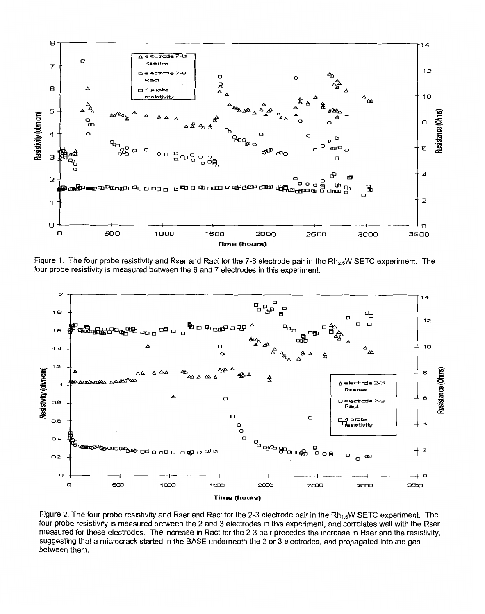<span id="page-2-0"></span>

Figure 1. The four probe resistivity and Rser and Ract for the 7-8 electrode pair in the Rh<sub>2.5</sub>W SETC experiment. The four probe resistivity is measured between the 6 and 7 electrodes in this experiment.



Figure 2. The four probe resistivity and Rser and Ract for the 2-3 electrode pair in the  $Rh_{1.5}W$  SETC experiment. The four probe resistivity is measured between the 2 and 3 electrodes in this experiment, and correlates well with the Rser measured for these electrodes. The increase in Ract for the 2-3 pair precedes the increase in Rser and the resistivity, suggesting that a microcrack started in the BASE underneath the 2 or 3 electrodes, and propagated into the gap between them.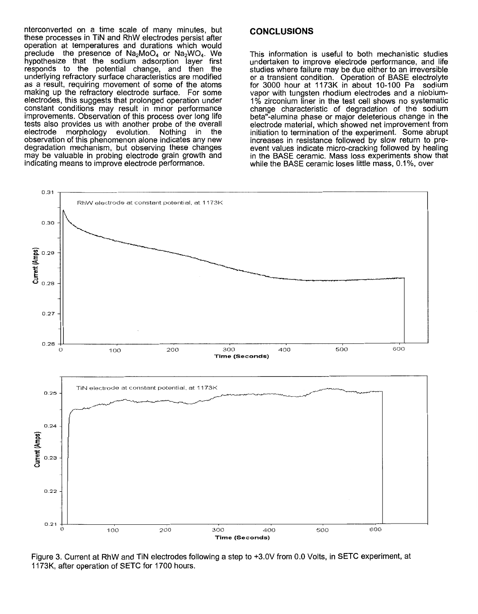<span id="page-3-0"></span>nterconverted on a time scale of many minutes, but these processes in TiN and RhW electrodes persist after operation at temperatures and durations which w preclude the presence of  $Na_2MoO_4$  or  $Na_2WO_4$ . We hypothesize that the sodium adsorption layer first responds to the potential change, and then the underlying refractory surface characteristics are modified as a result, requiring movement of some of the atoms making up the refractory electrode surface. For some electrodes, this suggests that prolonged operation under constant conditions may result in minor performance improvements. Observation of this process over long life tests also provides us with another probe of the overall<br>electrode morphology evolution. Nothing in the electrode morphology evolution. Nothing in the observation of this phenomenon alone indicates any new degradation mechanism, but observing these changes may be valuable in probing electrode grain growth and indicating means to improve electrode performance.

## **CONCLUSIONS**

This information is useful to both mechanistic studies undertaken to improve electrode performance, and life studies where failure may be due either to an irreversible or a transient condition. Operation of BASE electrolyte for 3000 hour at 1173K in about 10-100 Pa vapor with tungsten rhodium electrodes and a niobium-<br>1% zirconium liner in the test cell shows no systematic change characteristic of degradation of the sodium beta"-alumina phase or major deleterious change in the electrode material, which showed net improvement from initiation to termination of the experiment. Some abrupt<br>increases in resistance followed by slow return to pre-<br>event values indicate micro-cracking followed by healing<br>in the BASE ceramic. Mass loss experiments show that



Figure 3. Current at RhW and TIN electrodes following a step to +3.0V from *0.0* Volts, in SETC experiment, at 1173K, after operation of SETC for 1700 hours.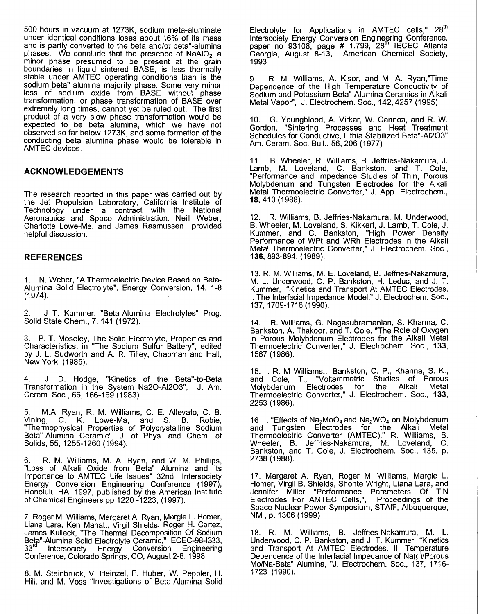500 hours in vacuum at 1273K, sodium meta-aluminate under identical conditions loses about 16% of its mass and is partly converted to the beta and/or beta''-alumina phases. We conclude that the presence of  $N\text{aAlO}_2$  a minor phase presumed to be present at the grain boundaries in liquid sintered BASE, is less thermally stable under AMTEC operating conditions than is the sodium beta" alumina majority phase. Some very minor loss of sodium oxide from BASE without phase transformation, or phase transformation of BASE over extremely long times, cannot yet be ruled out. The first product of a very slow phase transformation would be expected to be beta alumina, which we have not observed so far below 1273K, and some formation of the conducting beta alumina phase would be tolerable in AMTEC devices.

### **ACKNOWLEDGEMENTS**

The research reported in this paper was carried out by the Jet Propulsion Laboratory, California Institute of Technology under a contract with the National Aeronautics and Space Administration. Neill Weber, Charlotte Lowe-Ma, and James Rasmussen provided helpful discussion.

#### **REFERENCES**

1. N. Weber, "A Thermoelectric Device Based on Beta-Alumina Solid Electrolyte", Energy Conversion, 14, 1-8  $(1974).$ 

2. J T. Kummer, "Beta-Alumina Electrolytes" Prog. [Solid State Chem., 7,](#page-1-0) 141 (1972).

3. P. T. Moseley, The Solid Electrolyte, Properties and Characteristics, in "The Sodium Sulfur Battery", edited by J. L. Sudworth and A. R. Tilley, Chapman and Hall, New York, (1985).

4. J. D. Hodge, "Kinetics of the Beta"-to-Beta Transformation in the System Na20-A1203", J. Am. Ceram. Soc., 66, 166-169 (1983).

5. M.A. Ryan, R. M. Williams, C. E. Allevato, C. B. Vining, C. K. Lowe-Ma, and S. B. "Thermophysical Properties of Polycrystalline Sodium Beta''-Alumina Ceramic", J. of Phys. and Chem. of Solids, 55, 1255-1260 (1994).

6. R. M. Williams, M. A. Ryan, and W. M. Phillips, "Loss of Alkali Oxide from Beta" Alumina and its Importance to AMTEC Life Issues" 32nd Intersociety<br>Energy Conversion Engineering Conference (1997), Honolulu HA, 1997, published by the American Institute of Chemical Engineers pp 1220 -1223, (1997).

7. Roger M. Williams, Margaret A. Ryan, Margie L. Homer, Liana Lara, Ken Manatt, Virgil Shields, Roger H. Cortez, James Kulleck, "The Thermal Decomposition Of Sodium Beta"-Alumina Solid Electrolyte Ceramic," IECEC-98-I333, 33<sup>rd</sup> Intersociety Energy Conversion Engineering Conference, Colorado Springs, CO, August 2-6, 1998

8. M. Steinbruck, V. Heinzel, F. Huber, W. Peppler, H. Hill, and M. Voss "Investigations of Beta-Alumina Solid Electrolyte for Applications in AMTEC cells," 28<sup>th</sup> Intersociety Energy Conversion Engineering Conferenc paper no 93108, page # 1.799, 28 $^{\text{th}}$  IECEC  $\neq$ Georgia, August 8-13, American Chemical Soc<br>1993

9. R. M. Williams, A. Kisor, and M. A. Ryan,"Time Dependence of the High Temperature Conductivity of Sodium and Potassium Beta''-Alumina Ceramics in Alkali Metal Vapor", J. Electrochem. Soc., 142, 4257 (1995)

IO. G. Youngblood, A. Virkar, W. Cannon, and R. W. Gordon, "Sintering Processes and Heat Treatment Schedules for Conductive, Lithia Stabilized Beta"-A1203" Am. Ceram. SOC. Bull., 56,206 (1977)

11. B. Wheeler, R. Williams, B. Jeffries-Nakamura, J. Lamb, M. Loveland, C. Bankston, and "Performance and Impedance Studies of Thin, Porous Molybdenum and Tungsten Electrodes for the Alkali Metal Thermoelectric Converter," J. App. Electrochem., 18,410 (1988).

12. R. Williams, B. Jeffries-Nakamura, M. Underwood, B. Wheeler, M. Loveland, *S.* Kikkert, J. Lamb, T. Cole, J. Kummer, and C.Bankston, "High Power Density Performance of WPt and WRh Electrodes in the Alkali Metal Thermoelectric Converter," J. Electrochem. Soc., 136, 893-894, (1989).

13. R. M. Williams, M. E. Loveland, B. Jeffries-Nakamura, M. L. Underwood, C. P. Bankston, H. Leduc, and J. T. Kummer, "Kinetics and Transport At AMTEC Electrodes, I. The Interfacial Impedance Model," J. Electrochem. Soc., 137, 1709-1716 (1990).

14. R. Williams, G. Nagasubramanian, *S.* Khanna, C. Bankston, A. Thakoor, and T. Cole, "The Role of Oxygen in Porous Molybdenum Electrodes for the Alkali Metal Thermoelectric Converter," J. Electrochem. Soc., 133, 1587 (1986).

15. . R. M Williams,., Bankston, C. P., Khanna, *S.* K., and Cole, T., "Voltammetric Studies of Porous<br>Molvbdenum Electrodes for the Alkali Metal Molybdenum Electrodes for Thermoelectric Converter," J. Electrochem. Soc., 133, 2253 (1986).

16 . "Effects of Na<sub>2</sub>MoO<sub>4</sub> and Na<sub>2</sub>WO<sub>4</sub> on Molybdenum and Tungsten Electrodes for the Alkali Metal Thermoelectric Converter (AMTEC)," R. Williams, B. Wheeler, B. Jeffries-Nakamura, M. Loveland, Bankston, and T. Cole, J. Electrochem. Soc., 135, p.<br>2738 (1988).

17. Margaret A. Ryan, Roger M. Williams, Margie L. Homer, Virgil B. Shields, Shonte Wright, Liana Lara, and Jennifer Miller "Performance Parameters Of TIN Electrodes For AMTEC Cells,", Proceedings of the Space Nuclear Power Symposium, STAIF, Albuquerque, NM , p. 1306 (1999)

18. R. M. Williams, B. Jeffries-Nakamura, M. L. Underwood, C. P. Bankston, and J. T. Kummer "Kinetics and Transport At AMTEC Electrodes. II. Temperature Dependence of the Interfacial Impedance of Na(g)/Porous Mo/Na-Beta" Alumina, "J. Electrochem. SOC., 137, 1716- Mo/Na-Beta" Alumina, "J. Electrochem. Soc., 137, 1716-<br>1723 (1990).